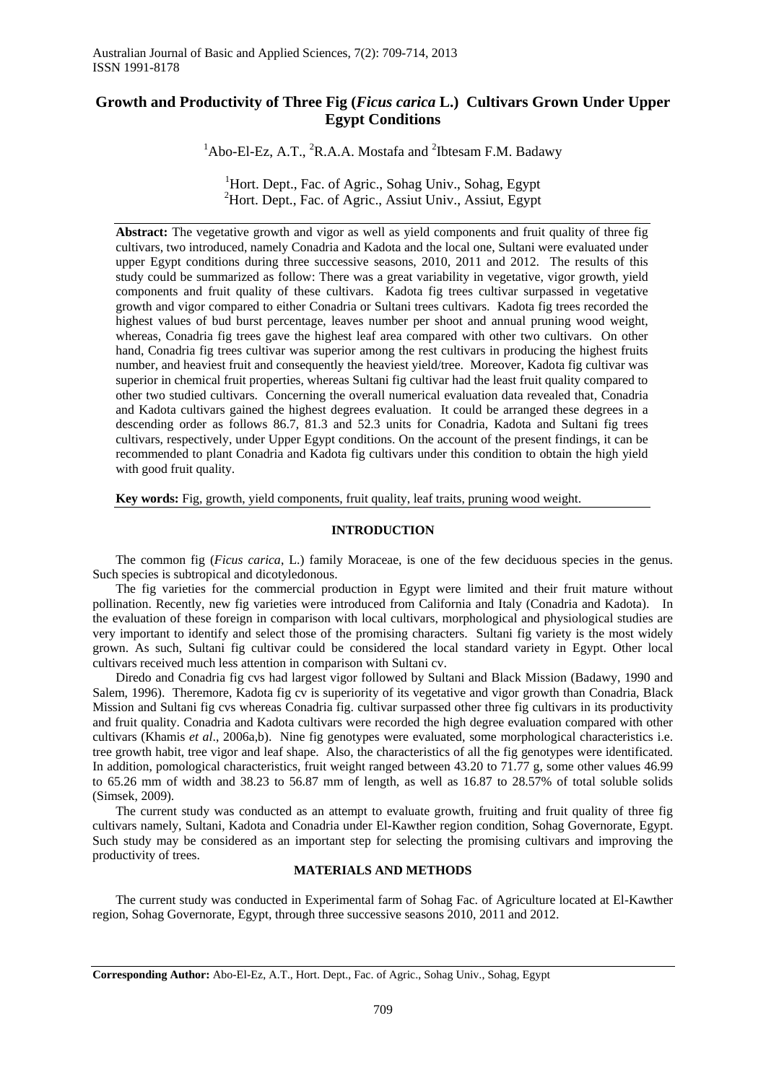# **Growth and Productivity of Three Fig (***Ficus carica* **L.) Cultivars Grown Under Upper Egypt Conditions**

 ${}^{1}$ Abo-El-Ez, A.T.,  ${}^{2}$ R.A.A. Mostafa and  ${}^{2}$ Ibtesam F.M. Badawy

<sup>1</sup>Hort. Dept., Fac. of Agric., Sohag Univ., Sohag, Egypt <sup>2</sup>Hort. Dept., Fac. of Agric., Assiut Univ., Assiut, Egypt

**Abstract:** The vegetative growth and vigor as well as yield components and fruit quality of three fig cultivars, two introduced, namely Conadria and Kadota and the local one, Sultani were evaluated under upper Egypt conditions during three successive seasons, 2010, 2011 and 2012. The results of this study could be summarized as follow: There was a great variability in vegetative, vigor growth, yield components and fruit quality of these cultivars. Kadota fig trees cultivar surpassed in vegetative growth and vigor compared to either Conadria or Sultani trees cultivars. Kadota fig trees recorded the highest values of bud burst percentage, leaves number per shoot and annual pruning wood weight, whereas, Conadria fig trees gave the highest leaf area compared with other two cultivars. On other hand, Conadria fig trees cultivar was superior among the rest cultivars in producing the highest fruits number, and heaviest fruit and consequently the heaviest yield/tree. Moreover, Kadota fig cultivar was superior in chemical fruit properties, whereas Sultani fig cultivar had the least fruit quality compared to other two studied cultivars. Concerning the overall numerical evaluation data revealed that, Conadria and Kadota cultivars gained the highest degrees evaluation. It could be arranged these degrees in a descending order as follows 86.7, 81.3 and 52.3 units for Conadria, Kadota and Sultani fig trees cultivars, respectively, under Upper Egypt conditions. On the account of the present findings, it can be recommended to plant Conadria and Kadota fig cultivars under this condition to obtain the high yield with good fruit quality.

**Key words:** Fig, growth, yield components, fruit quality, leaf traits, pruning wood weight.

# **INTRODUCTION**

The common fig (*Ficus carica*, L.) family Moraceae, is one of the few deciduous species in the genus. Such species is subtropical and dicotyledonous.

The fig varieties for the commercial production in Egypt were limited and their fruit mature without pollination. Recently, new fig varieties were introduced from California and Italy (Conadria and Kadota). In the evaluation of these foreign in comparison with local cultivars, morphological and physiological studies are very important to identify and select those of the promising characters. Sultani fig variety is the most widely grown. As such, Sultani fig cultivar could be considered the local standard variety in Egypt. Other local cultivars received much less attention in comparison with Sultani cv.

Diredo and Conadria fig cvs had largest vigor followed by Sultani and Black Mission (Badawy, 1990 and Salem, 1996). Theremore, Kadota fig cv is superiority of its vegetative and vigor growth than Conadria, Black Mission and Sultani fig cvs whereas Conadria fig. cultivar surpassed other three fig cultivars in its productivity and fruit quality. Conadria and Kadota cultivars were recorded the high degree evaluation compared with other cultivars (Khamis *et al*., 2006a,b). Nine fig genotypes were evaluated, some morphological characteristics i.e. tree growth habit, tree vigor and leaf shape. Also, the characteristics of all the fig genotypes were identificated. In addition, pomological characteristics, fruit weight ranged between 43.20 to 71.77 g, some other values 46.99 to 65.26 mm of width and 38.23 to 56.87 mm of length, as well as 16.87 to 28.57% of total soluble solids (Simsek, 2009).

The current study was conducted as an attempt to evaluate growth, fruiting and fruit quality of three fig cultivars namely, Sultani, Kadota and Conadria under El-Kawther region condition, Sohag Governorate, Egypt. Such study may be considered as an important step for selecting the promising cultivars and improving the productivity of trees.

## **MATERIALS AND METHODS**

The current study was conducted in Experimental farm of Sohag Fac. of Agriculture located at El-Kawther region, Sohag Governorate, Egypt, through three successive seasons 2010, 2011 and 2012.

**Corresponding Author:** Abo-El-Ez, A.T., Hort. Dept., Fac. of Agric., Sohag Univ., Sohag, Egypt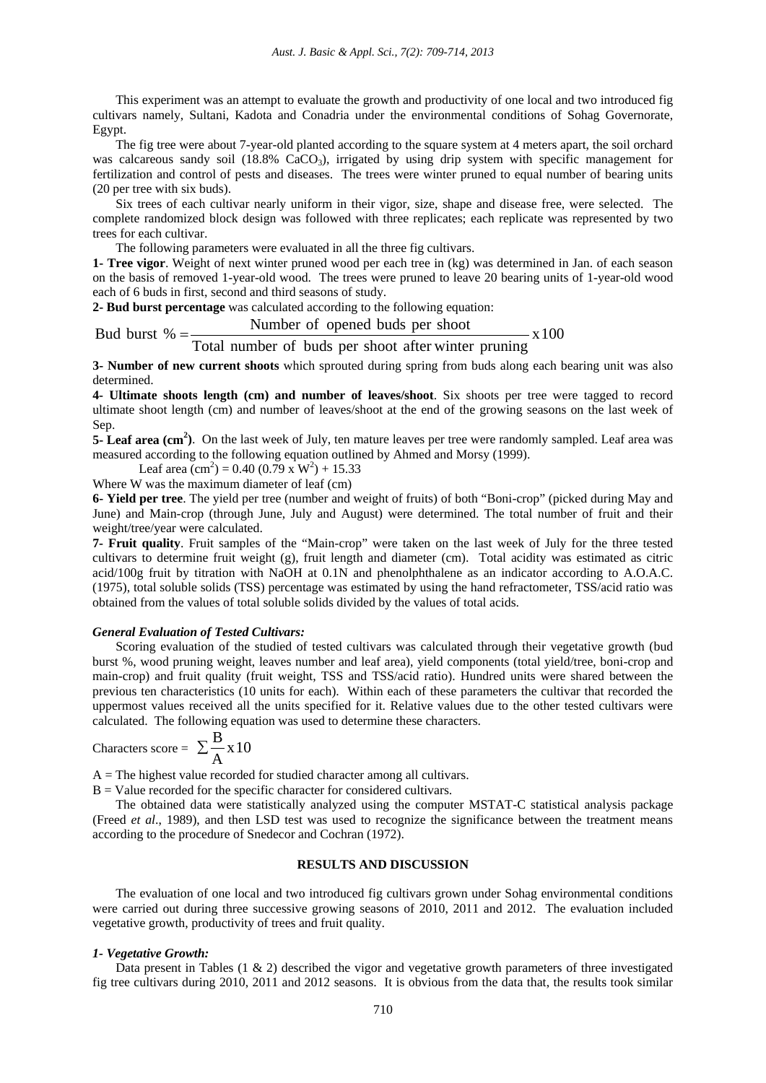This experiment was an attempt to evaluate the growth and productivity of one local and two introduced fig cultivars namely, Sultani, Kadota and Conadria under the environmental conditions of Sohag Governorate, Egypt.

The fig tree were about 7-year-old planted according to the square system at 4 meters apart, the soil orchard was calcareous sandy soil (18.8% CaCO<sub>3</sub>), irrigated by using drip system with specific management for fertilization and control of pests and diseases. The trees were winter pruned to equal number of bearing units (20 per tree with six buds).

Six trees of each cultivar nearly uniform in their vigor, size, shape and disease free, were selected. The complete randomized block design was followed with three replicates; each replicate was represented by two trees for each cultivar.

The following parameters were evaluated in all the three fig cultivars.

**1- Tree vigor**. Weight of next winter pruned wood per each tree in (kg) was determined in Jan. of each season on the basis of removed 1-year-old wood. The trees were pruned to leave 20 bearing units of 1-year-old wood each of 6 buds in first, second and third seasons of study.

**2- Bud burst percentage** was calculated according to the following equation:

# Number of opened buds per shoot

Bud burst  $% = \frac{1}{\text{Total number of by the number of body}}$ 

**3- Number of new current shoots** which sprouted during spring from buds along each bearing unit was also determined.

 $- x 100$ 

**4- Ultimate shoots length (cm) and number of leaves/shoot**. Six shoots per tree were tagged to record ultimate shoot length (cm) and number of leaves/shoot at the end of the growing seasons on the last week of Sep.

**5- Leaf area (cm<sup>2</sup> )**. On the last week of July, ten mature leaves per tree were randomly sampled. Leaf area was measured according to the following equation outlined by Ahmed and Morsy (1999).

Leaf area  $\text{(cm}^2\text{)} = 0.40 \text{ (0.79 x W}^2\text{)} + 15.33$ 

Where W was the maximum diameter of leaf (cm)

**6- Yield per tree**. The yield per tree (number and weight of fruits) of both "Boni-crop" (picked during May and June) and Main-crop (through June, July and August) were determined. The total number of fruit and their weight/tree/year were calculated.

**7- Fruit quality**. Fruit samples of the "Main-crop" were taken on the last week of July for the three tested cultivars to determine fruit weight (g), fruit length and diameter (cm). Total acidity was estimated as citric acid/100g fruit by titration with NaOH at 0.1N and phenolphthalene as an indicator according to A.O.A.C. (1975), total soluble solids (TSS) percentage was estimated by using the hand refractometer, TSS/acid ratio was obtained from the values of total soluble solids divided by the values of total acids.

# *General Evaluation of Tested Cultivars:*

Scoring evaluation of the studied of tested cultivars was calculated through their vegetative growth (bud burst %, wood pruning weight, leaves number and leaf area), yield components (total yield/tree, boni-crop and main-crop) and fruit quality (fruit weight, TSS and TSS/acid ratio). Hundred units were shared between the previous ten characteristics (10 units for each). Within each of these parameters the cultivar that recorded the uppermost values received all the units specified for it. Relative values due to the other tested cultivars were calculated. The following equation was used to determine these characters.

$$
Characters score = \sum \frac{B}{A} x 10
$$

 $A =$ The highest value recorded for studied character among all cultivars.

 $B =$  Value recorded for the specific character for considered cultivars.

The obtained data were statistically analyzed using the computer MSTAT-C statistical analysis package (Freed *et al*., 1989), and then LSD test was used to recognize the significance between the treatment means according to the procedure of Snedecor and Cochran (1972).

# **RESULTS AND DISCUSSION**

The evaluation of one local and two introduced fig cultivars grown under Sohag environmental conditions were carried out during three successive growing seasons of 2010, 2011 and 2012. The evaluation included vegetative growth, productivity of trees and fruit quality.

### *1- Vegetative Growth:*

Data present in Tables  $(1 \& 2)$  described the vigor and vegetative growth parameters of three investigated fig tree cultivars during 2010, 2011 and 2012 seasons. It is obvious from the data that, the results took similar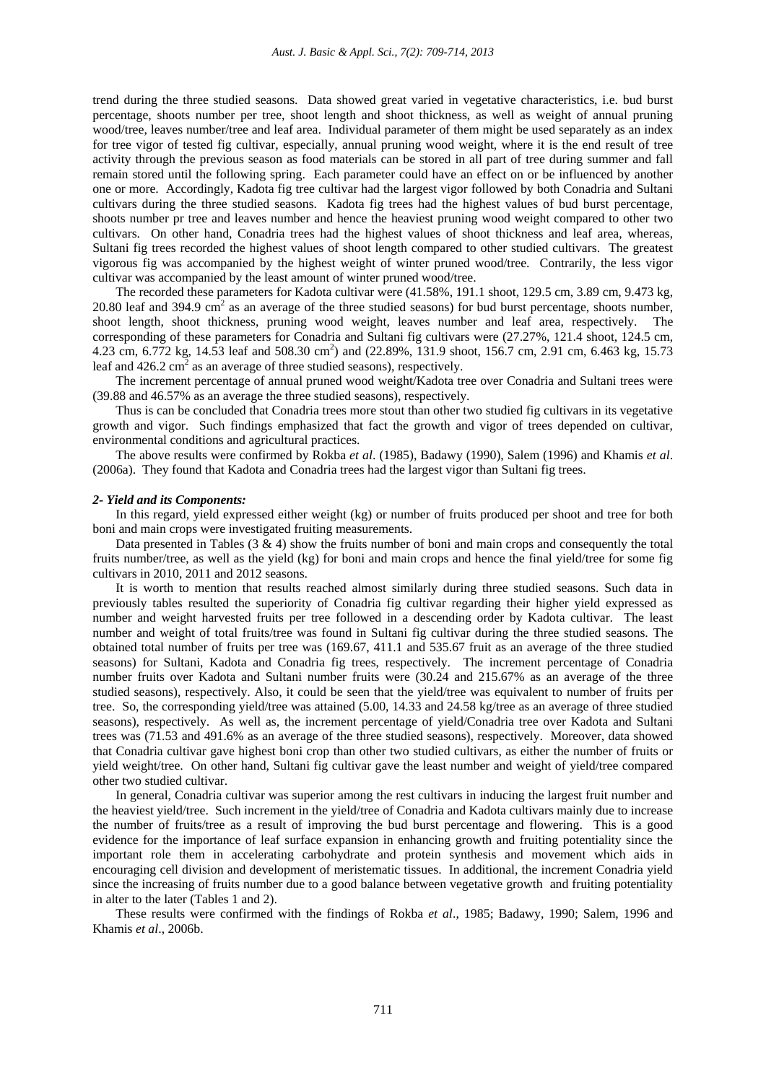trend during the three studied seasons. Data showed great varied in vegetative characteristics, i.e. bud burst percentage, shoots number per tree, shoot length and shoot thickness, as well as weight of annual pruning wood/tree, leaves number/tree and leaf area. Individual parameter of them might be used separately as an index for tree vigor of tested fig cultivar, especially, annual pruning wood weight, where it is the end result of tree activity through the previous season as food materials can be stored in all part of tree during summer and fall remain stored until the following spring. Each parameter could have an effect on or be influenced by another one or more. Accordingly, Kadota fig tree cultivar had the largest vigor followed by both Conadria and Sultani cultivars during the three studied seasons. Kadota fig trees had the highest values of bud burst percentage, shoots number pr tree and leaves number and hence the heaviest pruning wood weight compared to other two cultivars. On other hand, Conadria trees had the highest values of shoot thickness and leaf area, whereas, Sultani fig trees recorded the highest values of shoot length compared to other studied cultivars. The greatest vigorous fig was accompanied by the highest weight of winter pruned wood/tree. Contrarily, the less vigor cultivar was accompanied by the least amount of winter pruned wood/tree.

The recorded these parameters for Kadota cultivar were (41.58%, 191.1 shoot, 129.5 cm, 3.89 cm, 9.473 kg, 20.80 leaf and 394.9 cm<sup>2</sup> as an average of the three studied seasons) for bud burst percentage, shoots number, shoot length, shoot thickness, pruning wood weight, leaves number and leaf area, respectively. The corresponding of these parameters for Conadria and Sultani fig cultivars were (27.27%, 121.4 shoot, 124.5 cm, 4.23 cm, 6.772 kg, 14.53 leaf and 508.30 cm<sup>2</sup>) and (22.89%, 131.9 shoot, 156.7 cm, 2.91 cm, 6.463 kg, 15.73 leaf and  $426.2 \text{ cm}^2$  as an average of three studied seasons), respectively.

The increment percentage of annual pruned wood weight/Kadota tree over Conadria and Sultani trees were (39.88 and 46.57% as an average the three studied seasons), respectively.

Thus is can be concluded that Conadria trees more stout than other two studied fig cultivars in its vegetative growth and vigor. Such findings emphasized that fact the growth and vigor of trees depended on cultivar, environmental conditions and agricultural practices.

The above results were confirmed by Rokba *et al*. (1985), Badawy (1990), Salem (1996) and Khamis *et al*. (2006a). They found that Kadota and Conadria trees had the largest vigor than Sultani fig trees.

### *2- Yield and its Components:*

In this regard, yield expressed either weight (kg) or number of fruits produced per shoot and tree for both boni and main crops were investigated fruiting measurements.

Data presented in Tables  $(3 \& 4)$  show the fruits number of boni and main crops and consequently the total fruits number/tree, as well as the yield (kg) for boni and main crops and hence the final yield/tree for some fig cultivars in 2010, 2011 and 2012 seasons.

It is worth to mention that results reached almost similarly during three studied seasons. Such data in previously tables resulted the superiority of Conadria fig cultivar regarding their higher yield expressed as number and weight harvested fruits per tree followed in a descending order by Kadota cultivar. The least number and weight of total fruits/tree was found in Sultani fig cultivar during the three studied seasons. The obtained total number of fruits per tree was (169.67, 411.1 and 535.67 fruit as an average of the three studied seasons) for Sultani, Kadota and Conadria fig trees, respectively. The increment percentage of Conadria number fruits over Kadota and Sultani number fruits were (30.24 and 215.67% as an average of the three studied seasons), respectively. Also, it could be seen that the yield/tree was equivalent to number of fruits per tree. So, the corresponding yield/tree was attained (5.00, 14.33 and 24.58 kg/tree as an average of three studied seasons), respectively. As well as, the increment percentage of yield/Conadria tree over Kadota and Sultani trees was (71.53 and 491.6% as an average of the three studied seasons), respectively. Moreover, data showed that Conadria cultivar gave highest boni crop than other two studied cultivars, as either the number of fruits or yield weight/tree. On other hand, Sultani fig cultivar gave the least number and weight of yield/tree compared other two studied cultivar.

In general, Conadria cultivar was superior among the rest cultivars in inducing the largest fruit number and the heaviest yield/tree. Such increment in the yield/tree of Conadria and Kadota cultivars mainly due to increase the number of fruits/tree as a result of improving the bud burst percentage and flowering. This is a good evidence for the importance of leaf surface expansion in enhancing growth and fruiting potentiality since the important role them in accelerating carbohydrate and protein synthesis and movement which aids in encouraging cell division and development of meristematic tissues. In additional, the increment Conadria yield since the increasing of fruits number due to a good balance between vegetative growth and fruiting potentiality in alter to the later (Tables 1 and 2).

These results were confirmed with the findings of Rokba *et al*., 1985; Badawy, 1990; Salem, 1996 and Khamis *et al*., 2006b.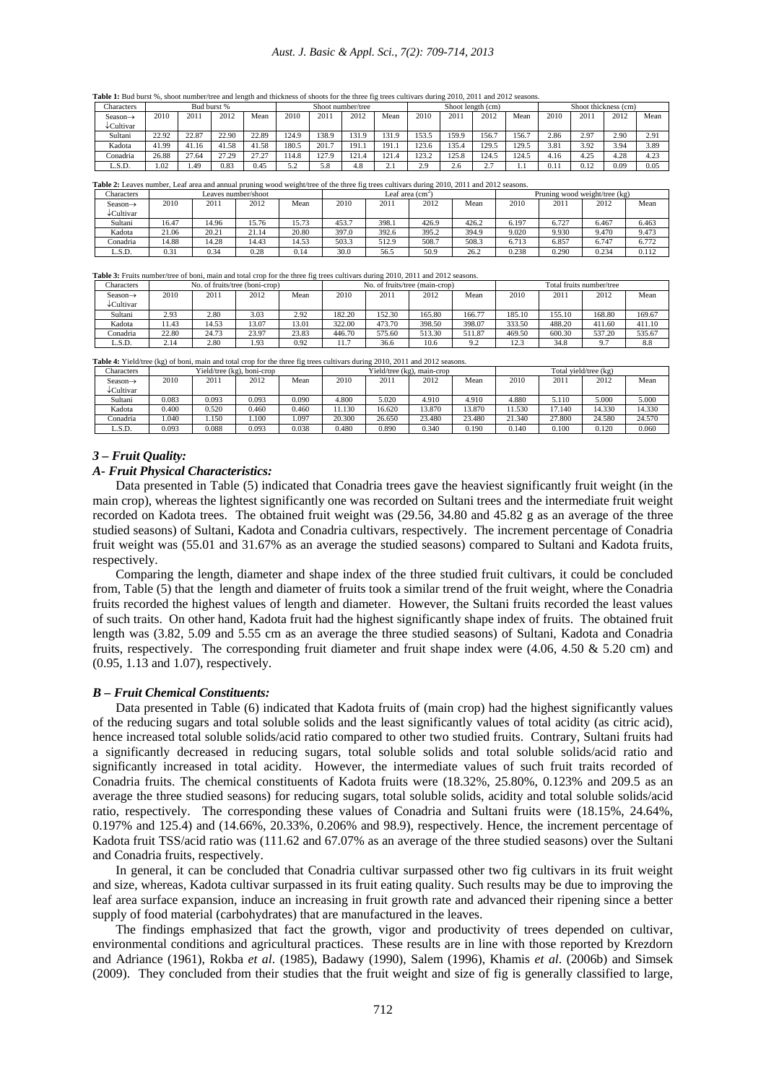Table 1: Bud burst %, shoot number/tree and length and thickness of shoots for the three fig trees cultivars during 2010, 2011 and 2012 seasons.

| Characters           |       |       | Bud burst % |       | Shoot number/tree          |       |       |          |       |       | Shoot length (cm)  |       | Shoot thickness (cm) |      |      |      |
|----------------------|-------|-------|-------------|-------|----------------------------|-------|-------|----------|-------|-------|--------------------|-------|----------------------|------|------|------|
| Season $\rightarrow$ | 2010  | 2011  | 2012        | Mean  | 2010                       | 2011  | 2012  | Mean     | 2010  | 2011  | 2012               | Mean  | 2010                 | 2011 | 2012 | Mean |
| ↓Cultivar            |       |       |             |       |                            |       |       |          |       |       |                    |       |                      |      |      |      |
| Sultani              | 22.92 | 22.87 | 22.90       | 22.89 | 124.9                      | 138.9 | 131.9 | 131.9    | 153.5 | 159.9 | 156.7              | 156.7 | 2.86                 | 2.97 | 2.90 | 2.91 |
| Kadota               | 41.99 | 41.16 | 41.58       | 41.58 | 180.5                      | 201.7 | 191.1 | 191.1    | 123.6 | 135.4 | 129.5              | 129.5 | 3.81                 | 3.92 | 3.94 | 3.89 |
| Conadria             | 26.88 | 27.64 | 27.29       | 27.27 | 114.8                      | 127.9 | 121.4 | 121.4    | 123.2 | 125.8 | 124.5              | 124.5 | 4.16                 | 4.25 | 4.28 | 4.23 |
| L.S.D.               | 1.02  | 1.49  | 0.83        | 0.45  | $\epsilon$ $\gamma$<br>ے ر | 5.8   | 4.8   | <u>.</u> | 2.9   | 2.6   | 27<br><u>، ، ،</u> | .     | 0.11                 | 0.12 | 0.09 | 0.05 |

Table 2: Leaves number, Leaf area and annual pruning wood weight/tree of the three fig trees cultivars during 2010, 2011 and 2012 seasons.

| Characters           |       |       | Leaves number/shoot |       |       | Leaf area $\text{cm}^{\sim}$ |       |       | Pruning wood weight/tree (kg) |       |       |       |  |
|----------------------|-------|-------|---------------------|-------|-------|------------------------------|-------|-------|-------------------------------|-------|-------|-------|--|
| Season $\rightarrow$ | 2010  | 2011  | 2012                | Mean  | 2010  | 2011                         | 2012  | Mean  | 2010                          | 2011  | 2012  | Mean  |  |
| ↓Cultivar            |       |       |                     |       |       |                              |       |       |                               |       |       |       |  |
| Sultani              | 16.47 | 14.96 | 15.76               | 15.73 | 453.7 | 398.1                        | 426.9 | 426.2 | 6.197                         | 6.727 | 6.467 | 6.463 |  |
| Kadota               | 21.06 | 20.21 | 21.14               | 20.80 | 397.0 | 392.6                        | 395.2 | 394.9 | 9.020                         | 9.930 | 9.470 | 9.473 |  |
| Conadria             | 14.88 | 14.28 | 14.43               | 14.53 | 503.3 | 512.9                        | 508.7 | 508.3 | 6.713                         | 6.857 | 6.747 | 6.772 |  |
| L.S.D.               | 0.31  | 0.34  | 0.28                | 0.14  | 30.0  | 56.5                         | 50.9  | 26.2  | 0.238                         | 0.290 | 0.234 | 0.112 |  |

**Table 3:** Fruits number/tree of boni, main and total crop for the three fig trees cultivars during 2010, 2011 and 2012 seasons.

| <b>Characters</b>    |       | No. of fruits/tree (boni-crop) |       |       |        |        | No. of fruits/tree (main-crop) |        |                       | Total fruits number/tree |        |        |
|----------------------|-------|--------------------------------|-------|-------|--------|--------|--------------------------------|--------|-----------------------|--------------------------|--------|--------|
| Season $\rightarrow$ | 2010  | 2011                           | 2012  | Mean  | 2010   | 2011   | 2012                           | Mean   | 2010                  | 2011                     | 2012   | Mean   |
| ↓Cultivar            |       |                                |       |       |        |        |                                |        |                       |                          |        |        |
| Sultani              | 2.93  | 2.80                           | 3.03  | 2.92  | 182.20 | 152.30 | 165.80                         | 166.77 | 185.10                | 155.10                   | 168.80 | 169.67 |
| Kadota               | 11.43 | 14.53                          | 13.07 | 13.01 | 322.00 | 473.70 | 398.50                         | 398.07 | 333.50                | 488.20                   | 411.60 | 411.10 |
| Conadria             | 22.80 | 24.73                          | 23.97 | 23.83 | 446.70 | 575.60 | 513.30                         | 511.87 | 469.50                | 600.30                   | 537.20 | 535.67 |
| L.S.D.               | 2.14  | 2.80                           | 1.93  | 0.92  | 11.7   | 36.6   | 10.6                           | 9.2    | $\sim$ $\sim$<br>12.3 | 34.8                     |        | 8.8    |

Table 4: Yield/tree (kg) of boni, main and total crop for the three fig trees cultivars during 2010, 2011 and 2012 seasons.

| <b>Characters</b> |       |       | Yield/tree (kg), boni-crop |       |        |        | Yield/tree (kg), main-crop |        | Total vield/tree (kg) |        |        |        |  |
|-------------------|-------|-------|----------------------------|-------|--------|--------|----------------------------|--------|-----------------------|--------|--------|--------|--|
| Season→           | 2010  | 2011  | 2012                       | Mean  | 2010   | 2011   | 2012                       | Mean   | 2010                  | 2011   | 2012   | Mean   |  |
| ↓Cultivar         |       |       |                            |       |        |        |                            |        |                       |        |        |        |  |
| Sultani           | 0.083 | 0.093 | 0.093                      | 0.090 | 4.800  | 5.020  | 4.910                      | 4.910  | 4.880                 | 5.110  | 5.000  | 5.000  |  |
| Kadota            | 0.400 | 0.520 | 0.460                      | 0.460 | 11.130 | 16.620 | 13.870                     | 3.870  | 11.530                | 17.140 | 14.330 | 14.330 |  |
| Conadria          | .040  | 1.150 | .100                       | .097  | 20.300 | 26.650 | 23.480                     | 23.480 | 21.340                | 27.800 | 24.580 | 24.570 |  |
| L.S.D.            | 0.093 | 0.088 | 0.093                      | 0.038 | 0.480  | 0.890  | 0.340                      | 0.190  | 0.140                 | 0.100  | 0.120  | 0.060  |  |

#### *3 – Fruit Quality:*

### *A- Fruit Physical Characteristics:*

Data presented in Table (5) indicated that Conadria trees gave the heaviest significantly fruit weight (in the main crop), whereas the lightest significantly one was recorded on Sultani trees and the intermediate fruit weight recorded on Kadota trees. The obtained fruit weight was (29.56, 34.80 and 45.82 g as an average of the three studied seasons) of Sultani, Kadota and Conadria cultivars, respectively. The increment percentage of Conadria fruit weight was (55.01 and 31.67% as an average the studied seasons) compared to Sultani and Kadota fruits, respectively.

Comparing the length, diameter and shape index of the three studied fruit cultivars, it could be concluded from, Table (5) that the length and diameter of fruits took a similar trend of the fruit weight, where the Conadria fruits recorded the highest values of length and diameter. However, the Sultani fruits recorded the least values of such traits. On other hand, Kadota fruit had the highest significantly shape index of fruits. The obtained fruit length was (3.82, 5.09 and 5.55 cm as an average the three studied seasons) of Sultani, Kadota and Conadria fruits, respectively. The corresponding fruit diameter and fruit shape index were (4.06, 4.50 & 5.20 cm) and (0.95, 1.13 and 1.07), respectively.

### *B – Fruit Chemical Constituents:*

Data presented in Table (6) indicated that Kadota fruits of (main crop) had the highest significantly values of the reducing sugars and total soluble solids and the least significantly values of total acidity (as citric acid), hence increased total soluble solids/acid ratio compared to other two studied fruits. Contrary, Sultani fruits had a significantly decreased in reducing sugars, total soluble solids and total soluble solids/acid ratio and significantly increased in total acidity. However, the intermediate values of such fruit traits recorded of Conadria fruits. The chemical constituents of Kadota fruits were (18.32%, 25.80%, 0.123% and 209.5 as an average the three studied seasons) for reducing sugars, total soluble solids, acidity and total soluble solids/acid ratio, respectively. The corresponding these values of Conadria and Sultani fruits were (18.15%, 24.64%, 0.197% and 125.4) and (14.66%, 20.33%, 0.206% and 98.9), respectively. Hence, the increment percentage of Kadota fruit TSS/acid ratio was (111.62 and 67.07% as an average of the three studied seasons) over the Sultani and Conadria fruits, respectively.

In general, it can be concluded that Conadria cultivar surpassed other two fig cultivars in its fruit weight and size, whereas, Kadota cultivar surpassed in its fruit eating quality. Such results may be due to improving the leaf area surface expansion, induce an increasing in fruit growth rate and advanced their ripening since a better supply of food material (carbohydrates) that are manufactured in the leaves.

The findings emphasized that fact the growth, vigor and productivity of trees depended on cultivar, environmental conditions and agricultural practices. These results are in line with those reported by Krezdorn and Adriance (1961), Rokba *et al*. (1985), Badawy (1990), Salem (1996), Khamis *et al*. (2006b) and Simsek (2009). They concluded from their studies that the fruit weight and size of fig is generally classified to large,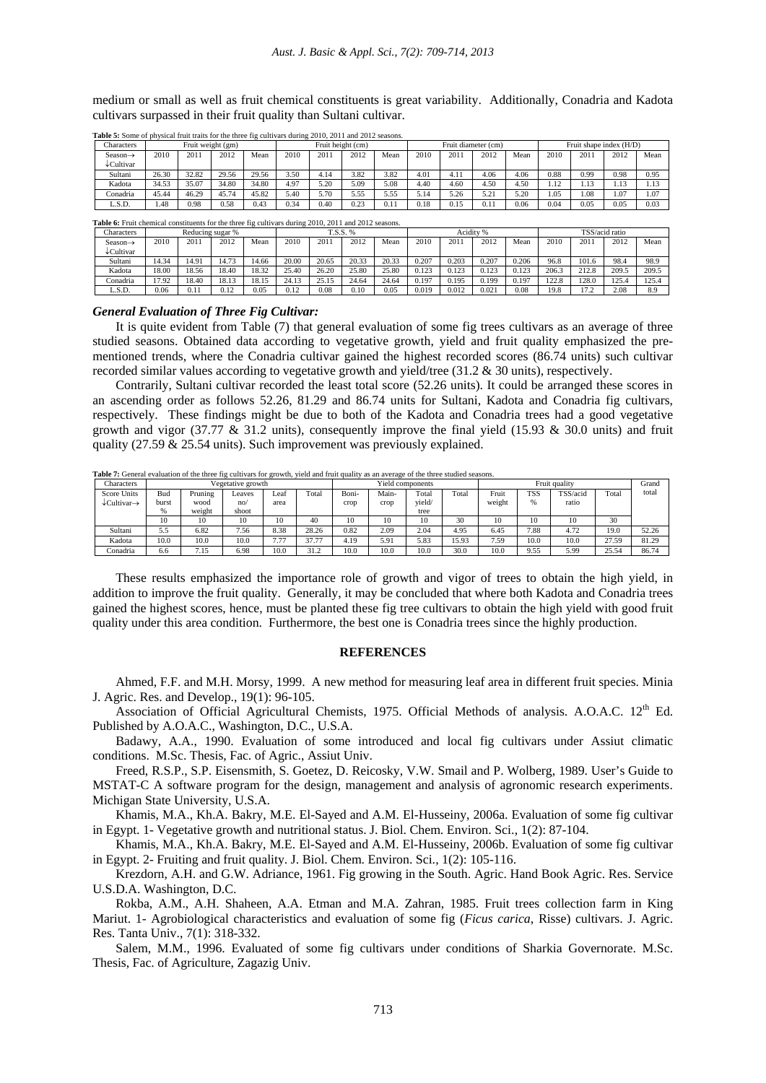medium or small as well as fruit chemical constituents is great variability. Additionally, Conadria and Kadota cultivars surpassed in their fruit quality than Sultani cultivar.

| Characters                                    |       | Fruit weight (gm) |       |       | Fruit height (cm) |      |      |      |      |      | Fruit diameter (cm) |      | Fruit shape index (H/D) |      |             |         |
|-----------------------------------------------|-------|-------------------|-------|-------|-------------------|------|------|------|------|------|---------------------|------|-------------------------|------|-------------|---------|
| Season $\rightarrow$<br>$\downarrow$ Cultivar | 2010  | 2011              | 2012  | Mean  | 2010              | 2011 | 2012 | Mean | 2010 | 2011 | 2012                | Mean | 2010                    | 2011 | 2012        | Mean    |
| Sultani                                       | 26.30 | 32.82             | 29.56 | 29.56 | 3.50              | , 14 | 3.82 | 3.82 | 4.01 | 4.11 | 4.06                | 4.06 | 0.88                    | 0.99 | 0.98        | 0.95    |
| Kadota                                        | 34.53 | 35.07             | 34.80 | 34.80 | 4.97              | 5.20 | 5.09 | 5.08 | 4.40 | 4.60 | 4.50                | 4.50 | 1.12                    | 1.13 | $\sim$<br>. | $1.1 -$ |
| Conadria                                      | 45.44 | 46.29             | 45.74 | 45.82 | 5.40              | 5.70 | 5.55 | 5.55 | 5.14 | 5.26 | $5.2^{\circ}$       | 5.20 | .05                     | 1.08 | 1.07        | 1.07    |
| L.S.D.                                        | 1.48  | 0.98              | 0.58  | 0.43  | 0.34              | 0.40 | 0.23 | 0.11 | 0.18 | 0.15 | 0.11                | 0.06 | 0.04                    | 0.05 | 0.05        | 0.03    |

**Table 5:** Some of physical fruit traits for the three fig cultivars during 2010, 2011 and 2012 seasons.

**Table 6:** Fruit chemical constituents for the three fig cultivars during 2010, 2011 and 2012 seasons.

| <b>Characters</b>   |       |       | Reducing sugar % |       | T.S.S. % |       |       |       |       |       | Acidity % |       | TSS/acid ratio |          |       |       |
|---------------------|-------|-------|------------------|-------|----------|-------|-------|-------|-------|-------|-----------|-------|----------------|----------|-------|-------|
| Season→<br>Cultivar | 2010  | 2011  | 2012             | Mean  | 2010     | 2011  | 2012  | Mean  | 2010  | 2011  | 2012      | Mean  | 2010           | 2011     | 2012  | Mean  |
| Sultani             | 14.34 | 14.91 | 14.73            | 4.66  | 20.00    | 20.65 | 20.33 | 20.33 | 0.207 | 0.203 | 0.207     | 0.206 | 96.8           | 101.6    | 98.4  | 98.9  |
| Kadota              | 18.00 | 18.56 | 8.40             | 18.32 | 25.40    | 26.20 | 25.80 | 25.80 | 0.123 | 0.123 | 0.123     | 0.123 | 206.3          | 212.8    | 209.5 | 209.5 |
| Conadria            | 17.92 | 18.40 | 18.13            | 18.15 | 24.13    | 25.15 | 24.64 | 24.64 | 0.197 | 0.195 | 0.199     | 0.197 | 122.8          | 128.0    | 125.4 | 125.  |
| L.S.D.              | 0.06  | 0.11  | 0.12             | 0.05  | 0.12     | 0.08  | 0.10  | 0.05  | 0.019 | 0.012 | 0.02      | 0.08  | 19.8           | 172<br>. | 2.08  | 8.9   |

### *General Evaluation of Three Fig Cultivar:*

It is quite evident from Table (7) that general evaluation of some fig trees cultivars as an average of three studied seasons. Obtained data according to vegetative growth, yield and fruit quality emphasized the prementioned trends, where the Conadria cultivar gained the highest recorded scores (86.74 units) such cultivar recorded similar values according to vegetative growth and yield/tree (31.2 & 30 units), respectively.

Contrarily, Sultani cultivar recorded the least total score (52.26 units). It could be arranged these scores in an ascending order as follows 52.26, 81.29 and 86.74 units for Sultani, Kadota and Conadria fig cultivars, respectively. These findings might be due to both of the Kadota and Conadria trees had a good vegetative growth and vigor (37.77  $\&$  31.2 units), consequently improve the final yield (15.93  $\&$  30.0 units) and fruit quality (27.59 & 25.54 units). Such improvement was previously explained.

| Characters                          |       |         | Vegetative growth |      |       |       | Yield components |        |       |        |            | Grand    |       |       |
|-------------------------------------|-------|---------|-------------------|------|-------|-------|------------------|--------|-------|--------|------------|----------|-------|-------|
| Score Units                         | Bud   | Pruning | Leaves            | Leai | Total | Boni- | Main-            | Total  | Total | Fruit  | <b>TSS</b> | TSS/acid | Total | total |
| $\downarrow$ Cultivar $\rightarrow$ | burst | wood    | no/               | area |       | crop  | crop             | vield/ |       | weight | $\%$       | ratio    |       |       |
|                                     | %     | weight  | shoot             |      |       |       |                  | tree   |       |        |            |          |       |       |
|                                     | 10    | 10      | 10                | 10   | 40    | 10    | 10               | 10     | 30    | 10     | 10         | 10       | 30    |       |
| Sultani                             | 5.5   | 6.82    | 7.56              | 8.38 | 28.26 | 0.82  | 2.09             | 2.04   | 4.95  | 6.45   | 7.88       | 4.72     | 19.0  | 52.26 |
| Kadota                              | 10.0  | 10.0    | 10.0              | 7.77 | 37.77 | 4.19  | 5.91             | 5.83   | 15.93 | 7.59   | 10.0       | 10.0     | 27.59 | 81.29 |
| Conadria                            | 6.6   | 7.15    | 6.98              | 10.0 | 31.2  | 10.0  | 10.0             | 10.0   | 30.0  | 10.0   | 9.55       | 5.99     | 25.54 | 86.74 |

**Table 7:** General evaluation of the three fig cultivars for growth, yield and fruit quality as an average of the three studied seasons.

These results emphasized the importance role of growth and vigor of trees to obtain the high yield, in addition to improve the fruit quality. Generally, it may be concluded that where both Kadota and Conadria trees gained the highest scores, hence, must be planted these fig tree cultivars to obtain the high yield with good fruit quality under this area condition. Furthermore, the best one is Conadria trees since the highly production.

### **REFERENCES**

Ahmed, F.F. and M.H. Morsy, 1999. A new method for measuring leaf area in different fruit species. Minia J. Agric. Res. and Develop., 19(1): 96-105.

Association of Official Agricultural Chemists, 1975. Official Methods of analysis. A.O.A.C. 12<sup>th</sup> Ed. Published by A.O.A.C., Washington, D.C., U.S.A.

Badawy, A.A., 1990. Evaluation of some introduced and local fig cultivars under Assiut climatic conditions. M.Sc. Thesis, Fac. of Agric., Assiut Univ.

Freed, R.S.P., S.P. Eisensmith, S. Goetez, D. Reicosky, V.W. Smail and P. Wolberg, 1989. User's Guide to MSTAT-C A software program for the design, management and analysis of agronomic research experiments. Michigan State University, U.S.A.

Khamis, M.A., Kh.A. Bakry, M.E. El-Sayed and A.M. El-Husseiny, 2006a. Evaluation of some fig cultivar in Egypt. 1- Vegetative growth and nutritional status. J. Biol. Chem. Environ. Sci., 1(2): 87-104.

Khamis, M.A., Kh.A. Bakry, M.E. El-Sayed and A.M. El-Husseiny, 2006b. Evaluation of some fig cultivar in Egypt. 2- Fruiting and fruit quality. J. Biol. Chem. Environ. Sci., 1(2): 105-116.

Krezdorn, A.H. and G.W. Adriance, 1961. Fig growing in the South. Agric. Hand Book Agric. Res. Service U.S.D.A. Washington, D.C.

Rokba, A.M., A.H. Shaheen, A.A. Etman and M.A. Zahran, 1985. Fruit trees collection farm in King Mariut. 1- Agrobiological characteristics and evaluation of some fig (*Ficus carica*, Risse) cultivars. J. Agric. Res. Tanta Univ., 7(1): 318-332.

Salem, M.M., 1996. Evaluated of some fig cultivars under conditions of Sharkia Governorate. M.Sc. Thesis, Fac. of Agriculture, Zagazig Univ.